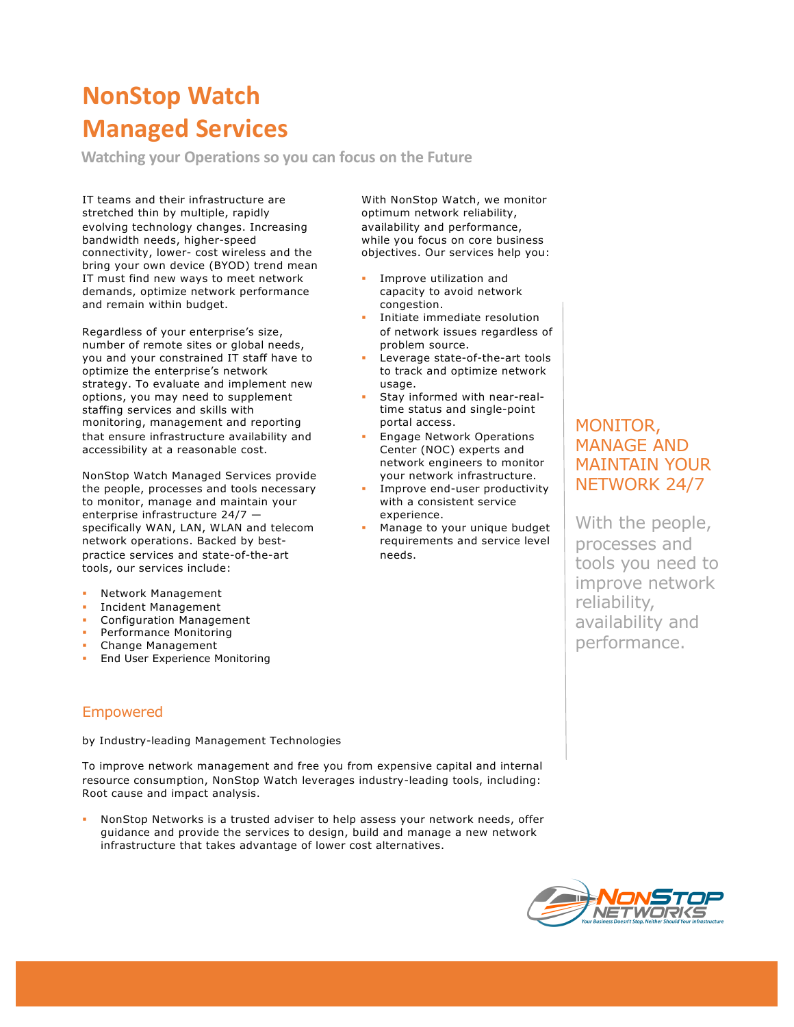# **NonStop Watch Managed Services**

**Watching your Operations so you can focus on the Future**

IT teams and their infrastructure are stretched thin by multiple, rapidly evolving technology changes. Increasing bandwidth needs, higher-speed connectivity, lower- cost wireless and the bring your own device (BYOD) trend mean IT must find new ways to meet network demands, optimize network performance and remain within budget.

Regardless of your enterprise's size, number of remote sites or global needs, you and your constrained IT staff have to optimize the enterprise's network strategy. To evaluate and implement new options, you may need to supplement staffing services and skills with monitoring, management and reporting that ensure infrastructure availability and accessibility at a reasonable cost.

NonStop Watch Managed Services provide the people, processes and tools necessary to monitor, manage and maintain your enterprise infrastructure 24/7 specifically WAN, LAN, WLAN and telecom network operations. Backed by bestpractice services and state-of-the-art tools, our services include:

- § Network Management
- § Incident Management
- § Configuration Management
- **•** Performance Monitoring
- Change Management
- **End User Experience Monitoring**

With NonStop Watch, we monitor optimum network reliability, availability and performance, while you focus on core business objectives. Our services help you:

- Improve utilization and capacity to avoid network congestion.
- Initiate immediate resolution of network issues regardless of problem source.
- Leverage state-of-the-art tools to track and optimize network usage.
- Stay informed with near-realtime status and single-point portal access.
- § Engage Network Operations Center (NOC) experts and network engineers to monitor your network infrastructure.
- Improve end-user productivity with a consistent service experience.
- § Manage to your unique budget requirements and service level needs.

## MONITOR, MANAGE AND MAINTAIN YOUR NETWORK 24/7

With the people, processes and tools you need to improve network reliability, availability and performance.

#### Empowered

by Industry-leading Management Technologies

To improve network management and free you from expensive capital and internal resource consumption, NonStop Watch leverages industry-leading tools, including: Root cause and impact analysis.

NonStop Networks is a trusted adviser to help assess your network needs, offer guidance and provide the services to design, build and manage a new network infrastructure that takes advantage of lower cost alternatives.